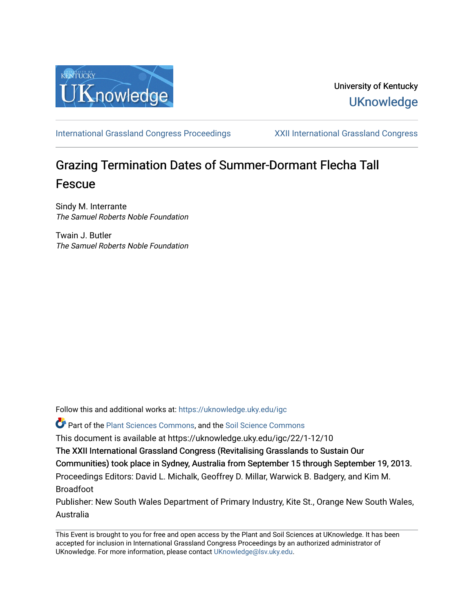

## University of Kentucky **UKnowledge**

[International Grassland Congress Proceedings](https://uknowledge.uky.edu/igc) [XXII International Grassland Congress](https://uknowledge.uky.edu/igc/22) 

# Grazing Termination Dates of Summer-Dormant Flecha Tall Fescue

Sindy M. Interrante The Samuel Roberts Noble Foundation

Twain J. Butler The Samuel Roberts Noble Foundation

Follow this and additional works at: [https://uknowledge.uky.edu/igc](https://uknowledge.uky.edu/igc?utm_source=uknowledge.uky.edu%2Figc%2F22%2F1-12%2F10&utm_medium=PDF&utm_campaign=PDFCoverPages) 

Part of the [Plant Sciences Commons](http://network.bepress.com/hgg/discipline/102?utm_source=uknowledge.uky.edu%2Figc%2F22%2F1-12%2F10&utm_medium=PDF&utm_campaign=PDFCoverPages), and the [Soil Science Commons](http://network.bepress.com/hgg/discipline/163?utm_source=uknowledge.uky.edu%2Figc%2F22%2F1-12%2F10&utm_medium=PDF&utm_campaign=PDFCoverPages) 

This document is available at https://uknowledge.uky.edu/igc/22/1-12/10

The XXII International Grassland Congress (Revitalising Grasslands to Sustain Our

Communities) took place in Sydney, Australia from September 15 through September 19, 2013.

Proceedings Editors: David L. Michalk, Geoffrey D. Millar, Warwick B. Badgery, and Kim M. Broadfoot

Publisher: New South Wales Department of Primary Industry, Kite St., Orange New South Wales, Australia

This Event is brought to you for free and open access by the Plant and Soil Sciences at UKnowledge. It has been accepted for inclusion in International Grassland Congress Proceedings by an authorized administrator of UKnowledge. For more information, please contact [UKnowledge@lsv.uky.edu](mailto:UKnowledge@lsv.uky.edu).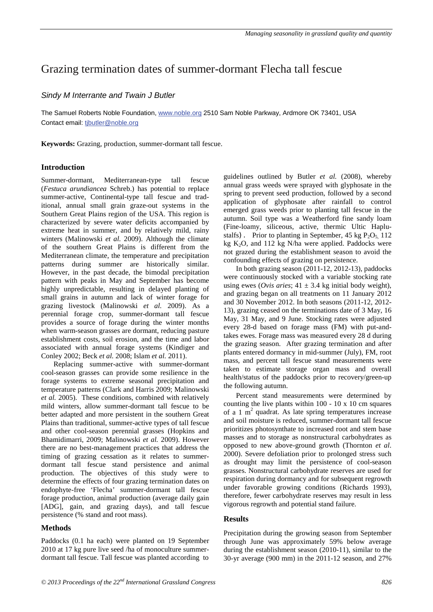### Grazing termination dates of summer-dormant Flecha tall fescue

#### *Sindy M Interrante and Twain J Butler*

The Samuel Roberts Noble Foundation, <u>www.noble.org</u> 2510 Sam Noble Parkway, Ardmore OK 73401, USA Contact email: <u>tjbutler@noble.org</u>

**Keywords:** Grazing, production, summer-dormant tall fescue.

#### **Introduction**

Summer-dormant, Mediterranean-type tall fescue (*Festuca arundiancea* Schreb.) has potential to replace summer-active, Continental-type tall fescue and traditional, annual small grain graze-out systems in the Southern Great Plains region of the USA. This region is characterized by severe water deficits accompanied by extreme heat in summer, and by relatively mild, rainy winters (Malinowski *et al.* 2009). Although the climate of the southern Great Plains is different from the Mediterranean climate, the temperature and precipitation patterns during summer are historically similar. However, in the past decade, the bimodal precipitation pattern with peaks in May and September has become highly unpredictable, resulting in delayed planting of small grains in autumn and lack of winter forage for grazing livestock (Malinowski *et al.* 2009). As a perennial forage crop, summer-dormant tall fescue provides a source of forage during the winter months when warm-season grasses are dormant, reducing pasture establishment costs, soil erosion, and the time and labor associated with annual forage systems (Kindiger and Conley 2002; Beck *et al.* 2008; Islam *et al.* 2011).

Replacing summer-active with summer-dormant cool-season grasses can provide some resilience in the forage systems to extreme seasonal precipitation and temperature patterns (Clark and Harris 2009; Malinowski *et al.* 2005). These conditions, combined with relatively mild winters, allow summer-dormant tall fescue to be better adapted and more persistent in the southern Great Plains than traditional, summer-active types of tall fescue and other cool-season perennial grasses (Hopkins and Bhamidimarri, 2009; Malinowski *et al.* 2009). However there are no best-management practices that address the timing of grazing cessation as it relates to summerdormant tall fescue stand persistence and animal production. The objectives of this study were to determine the effects of four grazing termination dates on endophyte-free 'Flecha' summer-dormant tall fescue forage production, animal production (average daily gain [ADG], gain, and grazing days), and tall fescue persistence (% stand and root mass).

#### **Methods**

Paddocks (0.1 ha each) were planted on 19 September 2010 at 17 kg pure live seed /ha of monoculture summerdormant tall fescue. Tall fescue was planted according to

guidelines outlined by Butler *et al.* (2008), whereby annual grass weeds were sprayed with glyphosate in the spring to prevent seed production, followed by a second application of glyphosate after rainfall to control emerged grass weeds prior to planting tall fescue in the autumn. Soil type was a Weatherford fine sandy loam (Fine-loamy, siliceous, active, thermic Ultic Haplustalfs). Prior to planting in September, 45 kg  $P_2O_5$ , 112 kg  $K_2O$ , and 112 kg N/ha were applied. Paddocks were not grazed during the establishment season to avoid the confounding effects of grazing on persistence.

In both grazing season (2011-12, 2012-13), paddocks were continuously stocked with a variable stocking rate using ewes (*Ovis aries*;  $41 \pm 3.4$  kg initial body weight), and grazing began on all treatments on 11 January 2012 and 30 November 2012. In both seasons (2011-12, 2012- 13), grazing ceased on the terminations date of 3 May, 16 May, 31 May, and 9 June. Stocking rates were adjusted every 28-d based on forage mass (FM) with put-andtakes ewes. Forage mass was measured every 28 d during the grazing season. After grazing termination and after plants entered dormancy in mid-summer (July), FM, root mass, and percent tall fescue stand measurements were taken to estimate storage organ mass and overall health/status of the paddocks prior to recovery/green-up the following autumn.

Percent stand measurements were determined by counting the live plants within  $100 - 10 \times 10$  cm squares of a 1  $m<sup>2</sup>$  quadrat. As late spring temperatures increase and soil moisture is reduced, summer-dormant tall fescue prioritizes photosynthate to increased root and stem base masses and to storage as nonstructural carbohydrates as opposed to new above-ground growth (Thornton *et al*. 2000). Severe defoliation prior to prolonged stress such as drought may limit the persistence of cool-season grasses. Nonstructural carbohydrate reserves are used for respiration during dormancy and for subsequent regrowth under favorable growing conditions (Richards 1993), therefore, fewer carbohydrate reserves may result in less vigorous regrowth and potential stand failure.

#### **Results**

Precipitation during the growing season from September through June was approximately 59% below average during the establishment season (2010-11), similar to the 30-yr average (900 mm) in the 2011-12 season, and 27%